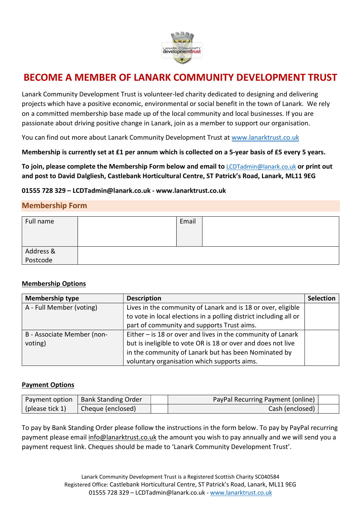

# BECOME A MEMBER OF LANARK COMMUNITY DEVELOPMENT TRUST

Lanark Community Development Trust is volunteer-led charity dedicated to designing and delivering projects which have a positive economic, environmental or social benefit in the town of Lanark. We rely on a committed membership base made up of the local community and local businesses. If you are passionate about driving positive change in Lanark, join as a member to support our organisation.

You can find out more about Lanark Community Development Trust at www.lanarktrust.co.uk

Membership is currently set at £1 per annum which is collected on a 5-year basis of £5 every 5 years.

To join, please complete the Membership Form below and email to LCDTadmin@lanark.co.uk or print out and post to David Dalgliesh, Castlebank Horticultural Centre, ST Patrick's Road, Lanark, ML11 9EG

01555 728 329 – LCDTadmin@lanark.co.uk - www.lanarktrust.co.uk

## Membership Form

| Full name             | Email |  |
|-----------------------|-------|--|
| Address &<br>Postcode |       |  |

### Membership Options

| <b>Membership type</b>     | <b>Description</b>                                                | <b>Selection</b> |
|----------------------------|-------------------------------------------------------------------|------------------|
| A - Full Member (voting)   | Lives in the community of Lanark and is 18 or over, eligible      |                  |
|                            | to vote in local elections in a polling district including all or |                  |
|                            | part of community and supports Trust aims.                        |                  |
| B - Associate Member (non- | Either $-$ is 18 or over and lives in the community of Lanark     |                  |
| voting)                    | but is ineligible to vote OR is 18 or over and does not live      |                  |
|                            | in the community of Lanark but has been Nominated by              |                  |
|                            | voluntary organisation which supports aims.                       |                  |

### Payment Options

| Payment option  | Bank Standing Order | PayPal Recurring Payment (online) |  |
|-----------------|---------------------|-----------------------------------|--|
| (please tick 1) | Cheque (enclosed)   | Cash (enclosed)                   |  |

To pay by Bank Standing Order please follow the instructions in the form below. To pay by PayPal recurring payment please email info@lanarktrust.co.uk the amount you wish to pay annually and we will send you a payment request link. Cheques should be made to 'Lanark Community Development Trust'.